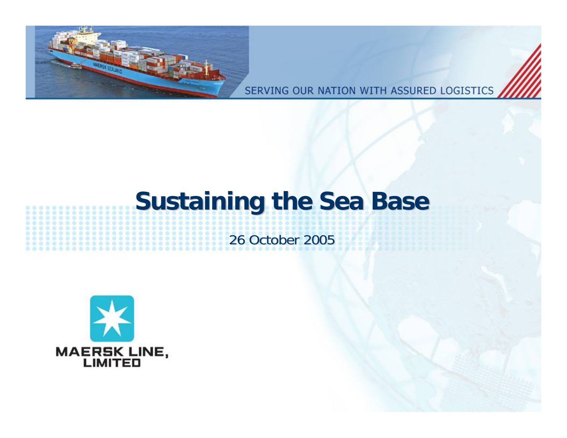

SERVING OUR NATION WITH ASSURED LOGISTICS

# **Sustaining the Sea Base Sustaining the Sea Base**

# 26 October 2005

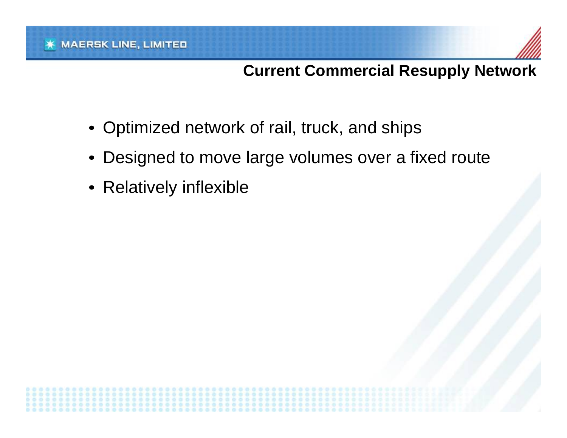# **Current Commercial Resupply Network**

- Optimized network of rail, truck, and ships
- Designed to move large volumes over a fixed route
- Relatively inflexible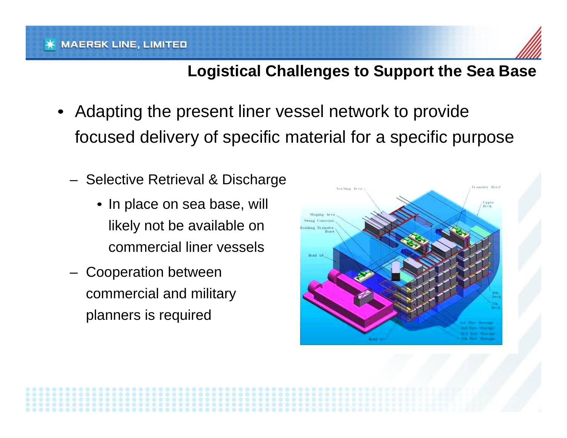#### **MAERSK LINE, LIMITED**



#### **Logistical Challenges to Support the Sea Base**

- • Adapting the present liner vessel network to provide focused delivery of specific material for a specific purpose
	- –– Selective Retrieval & Discharge
		- In place on sea base, will likely not be available on commercial liner vessels
	- – Cooperation between commercial and military planners is required

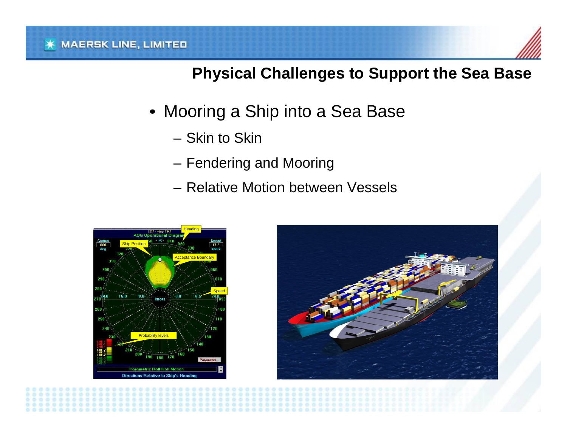#### **Physical Challenges to Support the Sea Base**

- Mooring a Ship into a Sea Base
	- –Skin to Skin
	- Fendering and Mooring
	- –Relative Motion between Vessels



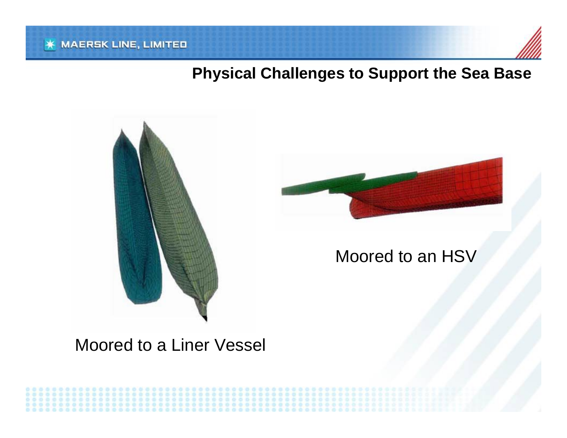#### **Physical Challenges to Support the Sea Base**





### Moored to an HSV

### Moored to a Liner Vessel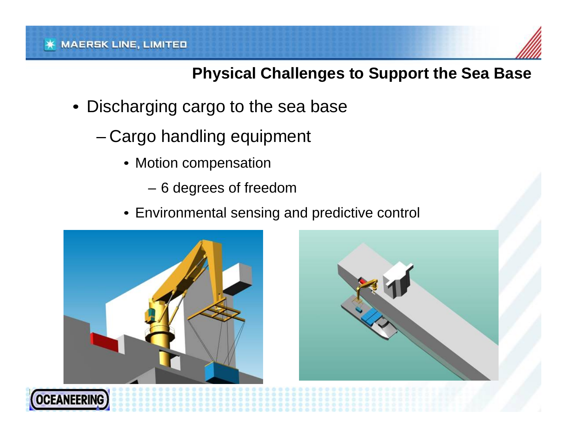#### **Physical Challenges to Support the Sea Base**

- • Discharging cargo to the sea base
	- Cargo handling equipment
		- Motion compensation
			- 6 degrees of freedom
		- Environmental sensing and predictive control





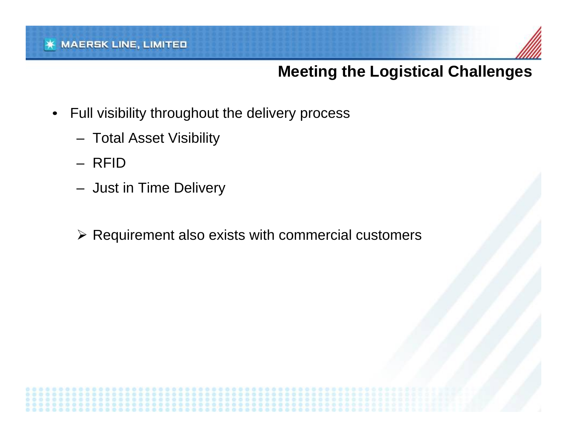#### **MAERSK LINE, LIMITED**



#### **Meeting the Logistical Challenges**

- • Full visibility throughout the delivery process
	- Total Asset Visibility
	- R FID
	- Just in Time Delivery
	- ¾ Requirement als o exists with commercial customers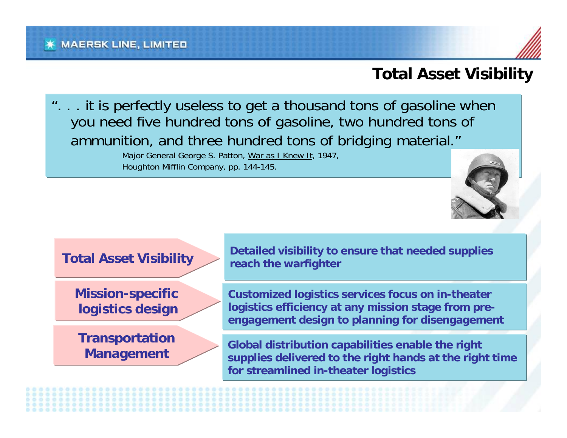#### **Total Asset Visibility**

... it is perfectly useless to get a thousand tons of gasoline when you need five hundred tons of gasoline, two hundred tons of ammunition, and three hundred tons of bridging material."

> Major General George S. Patton, War as I Knew It, 1947, Houghton Mifflin Company, pp. 144-145.